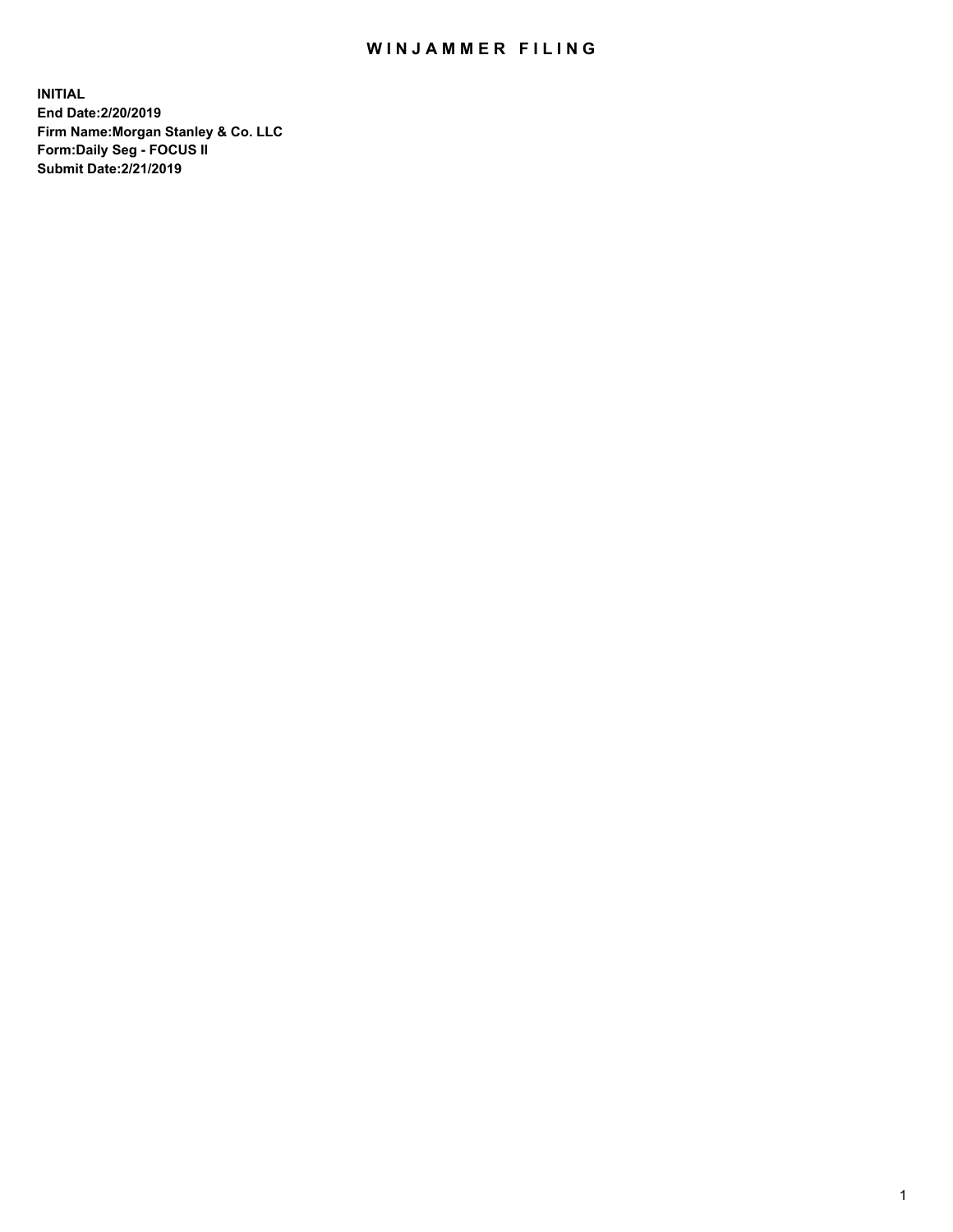## WIN JAMMER FILING

**INITIAL End Date:2/20/2019 Firm Name:Morgan Stanley & Co. LLC Form:Daily Seg - FOCUS II Submit Date:2/21/2019**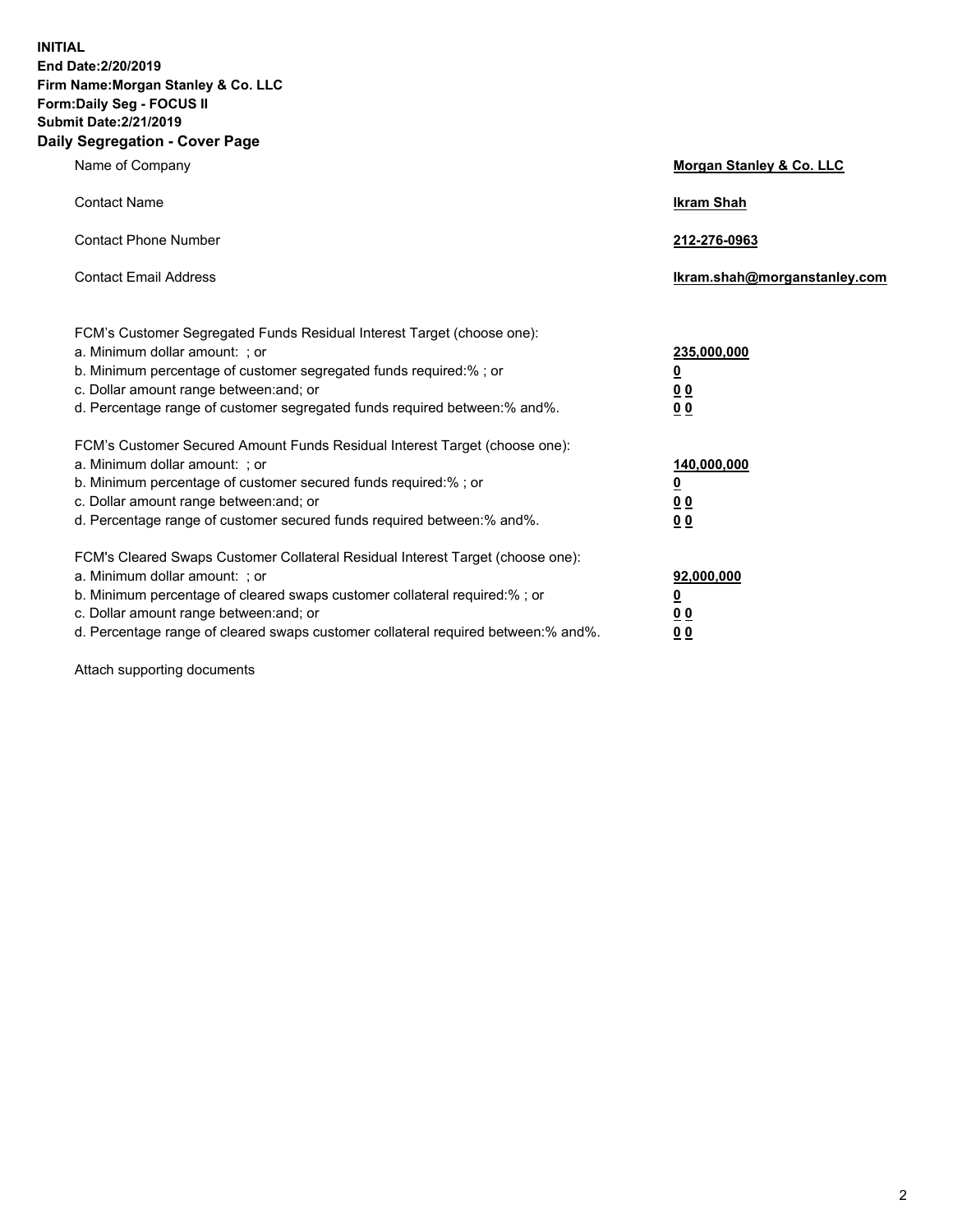**INITIAL End Date:2/20/2019 Firm Name:Morgan Stanley & Co. LLC Form:Daily Seg - FOCUS II Submit Date:2/21/2019 Daily Segregation - Cover Page**

| Name of Company                                                                                                                                                                                                                                                                                                                | Morgan Stanley & Co. LLC                                    |
|--------------------------------------------------------------------------------------------------------------------------------------------------------------------------------------------------------------------------------------------------------------------------------------------------------------------------------|-------------------------------------------------------------|
| <b>Contact Name</b>                                                                                                                                                                                                                                                                                                            | <b>Ikram Shah</b>                                           |
| <b>Contact Phone Number</b>                                                                                                                                                                                                                                                                                                    | 212-276-0963                                                |
| <b>Contact Email Address</b>                                                                                                                                                                                                                                                                                                   | Ikram.shah@morganstanley.com                                |
| FCM's Customer Segregated Funds Residual Interest Target (choose one):<br>a. Minimum dollar amount: : or<br>b. Minimum percentage of customer segregated funds required:% ; or<br>c. Dollar amount range between: and; or<br>d. Percentage range of customer segregated funds required between: % and %.                       | 235,000,000<br><u>0</u><br>00<br>00                         |
| FCM's Customer Secured Amount Funds Residual Interest Target (choose one):<br>a. Minimum dollar amount: ; or<br>b. Minimum percentage of customer secured funds required:%; or<br>c. Dollar amount range between: and; or<br>d. Percentage range of customer secured funds required between:% and%.                            | 140,000,000<br><u>0</u><br>0 <sub>0</sub><br>0 <sub>0</sub> |
| FCM's Cleared Swaps Customer Collateral Residual Interest Target (choose one):<br>a. Minimum dollar amount: ; or<br>b. Minimum percentage of cleared swaps customer collateral required:% ; or<br>c. Dollar amount range between: and; or<br>d. Percentage range of cleared swaps customer collateral required between:% and%. | 92,000,000<br><u>0</u><br><u>00</u><br>0 <sub>0</sub>       |

Attach supporting documents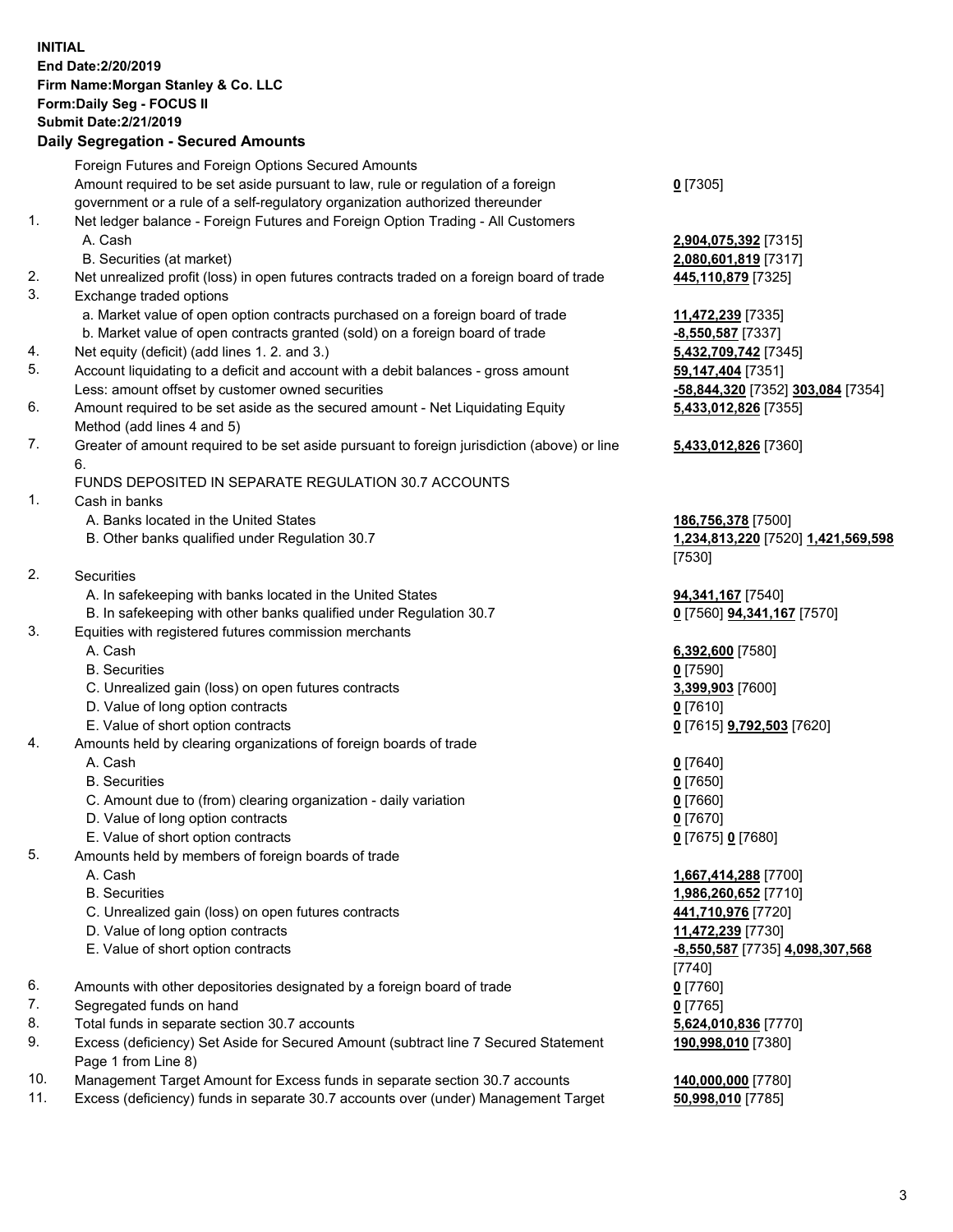## **INITIAL End Date:2/20/2019 Firm Name:Morgan Stanley & Co. LLC Form:Daily Seg - FOCUS II Submit Date:2/21/2019**

## **Daily Segregation - Secured Amounts**

Foreign Futures and Foreign Options Secured Amounts Amount required to be set aside pursuant to law, rule or regulation of a foreign government or a rule of a self-regulatory organization authorized thereunder 1. Net ledger balance - Foreign Futures and Foreign Option Trading - All Customers A. Cash **2,904,075,392** [7315] B. Securities (at market) **2,080,601,819** [7317] 2. Net unrealized profit (loss) in open futures contracts traded on a foreign board of trade **445,110,879** [7325] 3. Exchange traded options a. Market value of open option contracts purchased on a foreign board of trade **11,472,239** [7335] b. Market value of open contracts granted (sold) on a foreign board of trade **-8,550,587** [7337] 4. Net equity (deficit) (add lines 1. 2. and 3.) **5,432,709,742** [7345] 5. Account liquidating to a deficit and account with a debit balances - gross amount **59,147,404** [7351] Less: amount offset by customer owned securities **-58,844,320** [7352] **303,084** [7354] 6. Amount required to be set aside as the secured amount - Net Liquidating Equity Method (add lines 4 and 5) 7. Greater of amount required to be set aside pursuant to foreign jurisdiction (above) or line 6. FUNDS DEPOSITED IN SEPARATE REGULATION 30.7 ACCOUNTS 1. Cash in banks A. Banks located in the United States **186,756,378** [7500] B. Other banks qualified under Regulation 30.7 **1,234,813,220** [7520] **1,421,569,598** 2. Securities A. In safekeeping with banks located in the United States **94,341,167** [7540] B. In safekeeping with other banks qualified under Regulation 30.7 **0** [7560] **94,341,167** [7570] 3. Equities with registered futures commission merchants A. Cash **6,392,600** [7580] B. Securities **0** [7590] C. Unrealized gain (loss) on open futures contracts **3,399,903** [7600] D. Value of long option contracts **0** [7610] E. Value of short option contracts **0** [7615] **9,792,503** [7620] 4. Amounts held by clearing organizations of foreign boards of trade A. Cash **0** [7640] B. Securities **0** [7650] C. Amount due to (from) clearing organization - daily variation **0** [7660] D. Value of long option contracts **0** [7670] E. Value of short option contracts **0** [7675] **0** [7680] 5. Amounts held by members of foreign boards of trade A. Cash **1,667,414,288** [7700] B. Securities **1,986,260,652** [7710] C. Unrealized gain (loss) on open futures contracts **441,710,976** [7720] D. Value of long option contracts **11,472,239** [7730] E. Value of short option contracts **-8,550,587** [7735] **4,098,307,568** 6. Amounts with other depositories designated by a foreign board of trade **0** [7760] 7. Segregated funds on hand **0** [7765] 8. Total funds in separate section 30.7 accounts **5,624,010,836** [7770] 9. Excess (deficiency) Set Aside for Secured Amount (subtract line 7 Secured Statement Page 1 from Line 8)

- 10. Management Target Amount for Excess funds in separate section 30.7 accounts **140,000,000** [7780]
- 11. Excess (deficiency) funds in separate 30.7 accounts over (under) Management Target **50,998,010** [7785]

**0** [7305]

**5,433,012,826** [7355]

## **5,433,012,826** [7360]

[7530]

[7740] **190,998,010** [7380]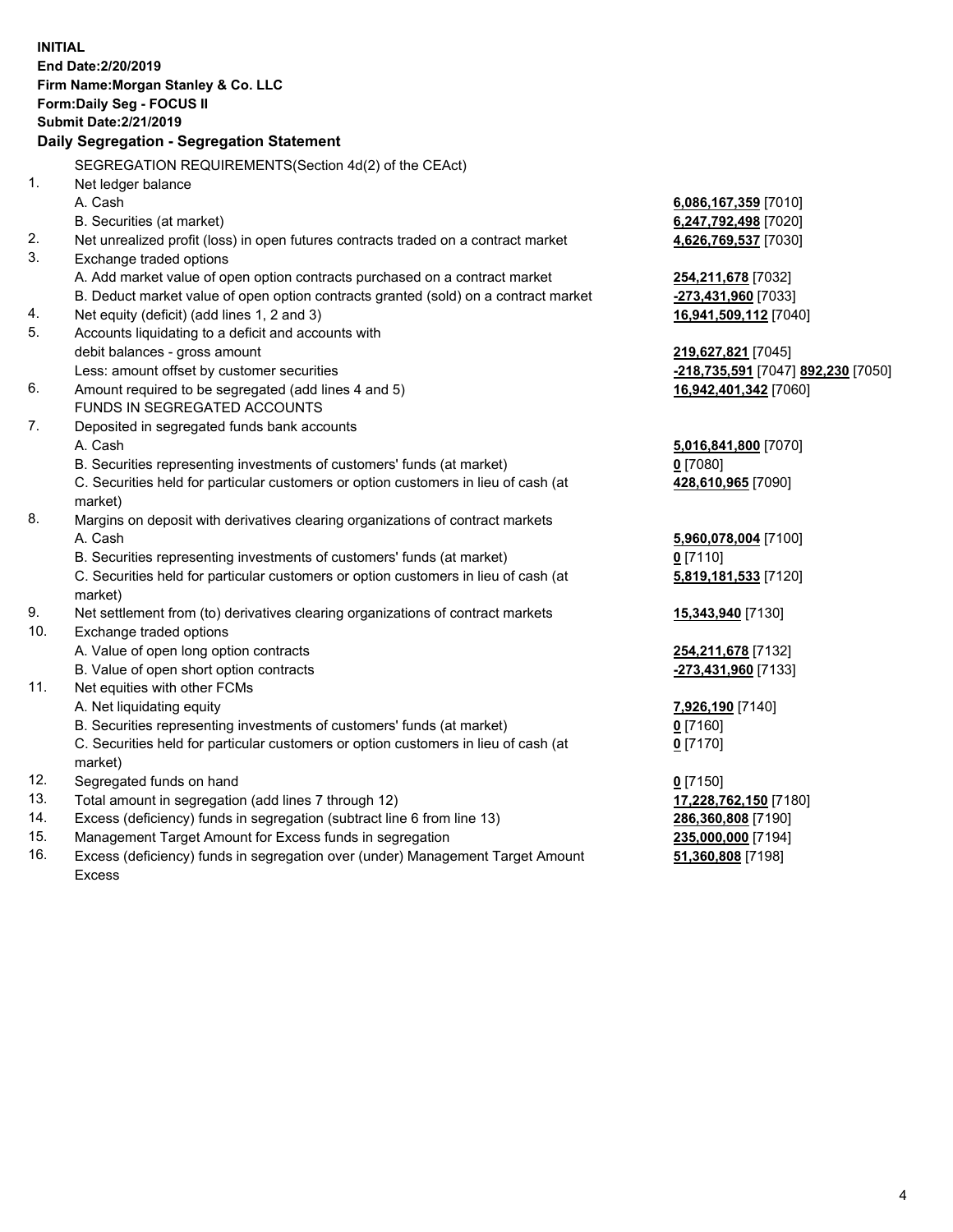**INITIAL End Date:2/20/2019 Firm Name:Morgan Stanley & Co. LLC Form:Daily Seg - FOCUS II Submit Date:2/21/2019 Daily Segregation - Segregation Statement** SEGREGATION REQUIREMENTS(Section 4d(2) of the CEAct) 1. Net ledger balance A. Cash **6,086,167,359** [7010] B. Securities (at market) **6,247,792,498** [7020] 2. Net unrealized profit (loss) in open futures contracts traded on a contract market **4,626,769,537** [7030] 3. Exchange traded options A. Add market value of open option contracts purchased on a contract market **254,211,678** [7032] B. Deduct market value of open option contracts granted (sold) on a contract market **-273,431,960** [7033] 4. Net equity (deficit) (add lines 1, 2 and 3) **16,941,509,112** [7040] 5. Accounts liquidating to a deficit and accounts with debit balances - gross amount **219,627,821** [7045] Less: amount offset by customer securities **-218,735,591** [7047] **892,230** [7050] 6. Amount required to be segregated (add lines 4 and 5) **16,942,401,342** [7060] FUNDS IN SEGREGATED ACCOUNTS 7. Deposited in segregated funds bank accounts A. Cash **5,016,841,800** [7070] B. Securities representing investments of customers' funds (at market) **0** [7080] C. Securities held for particular customers or option customers in lieu of cash (at market) **428,610,965** [7090] 8. Margins on deposit with derivatives clearing organizations of contract markets A. Cash **5,960,078,004** [7100] B. Securities representing investments of customers' funds (at market) **0** [7110] C. Securities held for particular customers or option customers in lieu of cash (at market) **5,819,181,533** [7120] 9. Net settlement from (to) derivatives clearing organizations of contract markets **15,343,940** [7130] 10. Exchange traded options A. Value of open long option contracts **254,211,678** [7132] B. Value of open short option contracts **-273,431,960** [7133] 11. Net equities with other FCMs A. Net liquidating equity **7,926,190** [7140] B. Securities representing investments of customers' funds (at market) **0** [7160] C. Securities held for particular customers or option customers in lieu of cash (at market) **0** [7170] 12. Segregated funds on hand **0** [7150] 13. Total amount in segregation (add lines 7 through 12) **17,228,762,150** [7180] 14. Excess (deficiency) funds in segregation (subtract line 6 from line 13) **286,360,808** [7190] 15. Management Target Amount for Excess funds in segregation **235,000,000** [7194] 16. Excess (deficiency) funds in segregation over (under) Management Target Amount **51,360,808** [7198]

Excess